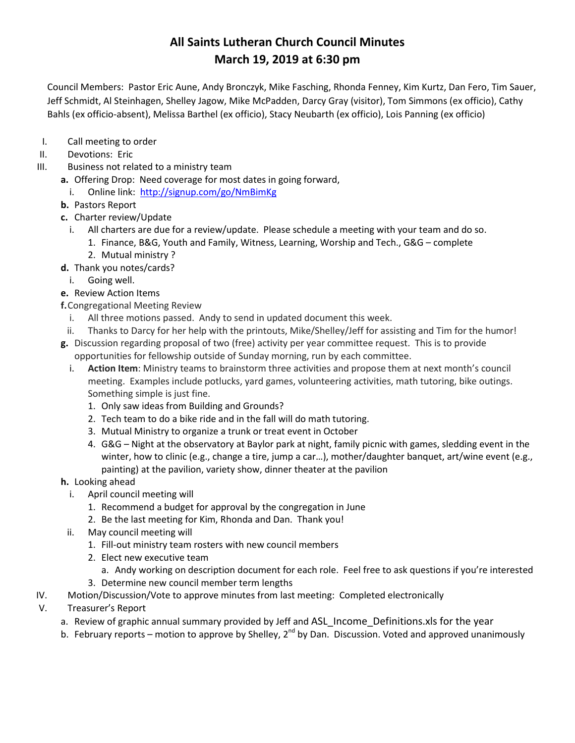Council Members: Pastor Eric Aune, Andy Bronczyk, Mike Fasching, Rhonda Fenney, Kim Kurtz, Dan Fero, Tim Sauer, Jeff Schmidt, Al Steinhagen, Shelley Jagow, Mike McPadden, Darcy Gray (visitor), Tom Simmons (ex officio), Cathy Bahls (ex officio-absent), Melissa Barthel (ex officio), Stacy Neubarth (ex officio), Lois Panning (ex officio)

- I. Call meeting to order
- II. Devotions: Eric
- III. Business not related to a ministry team
	- **a.** Offering Drop: Need coverage for most dates in going forward,
		- i. Online link: <http://signup.com/go/NmBimKg>
	- **b.** Pastors Report
	- **c.** Charter review/Update
		- i. All charters are due for a review/update. Please schedule a meeting with your team and do so. 1. Finance, B&G, Youth and Family, Witness, Learning, Worship and Tech., G&G – complete
			- 2. Mutual ministry ?
	- **d.** Thank you notes/cards?
		- i. Going well.
	- **e.** Review Action Items
	- **f.**Congregational Meeting Review
		- i. All three motions passed. Andy to send in updated document this week.
	- ii. Thanks to Darcy for her help with the printouts, Mike/Shelley/Jeff for assisting and Tim for the humor!
	- **g.** Discussion regarding proposal of two (free) activity per year committee request. This is to provide opportunities for fellowship outside of Sunday morning, run by each committee.
		- i. **Action Item**: Ministry teams to brainstorm three activities and propose them at next month's council meeting. Examples include potlucks, yard games, volunteering activities, math tutoring, bike outings. Something simple is just fine.
			- 1. Only saw ideas from Building and Grounds?
			- 2. Tech team to do a bike ride and in the fall will do math tutoring.
			- 3. Mutual Ministry to organize a trunk or treat event in October
			- 4. G&G Night at the observatory at Baylor park at night, family picnic with games, sledding event in the winter, how to clinic (e.g., change a tire, jump a car…), mother/daughter banquet, art/wine event (e.g., painting) at the pavilion, variety show, dinner theater at the pavilion
	- **h.** Looking ahead
		- i. April council meeting will
			- 1. Recommend a budget for approval by the congregation in June
			- 2. Be the last meeting for Kim, Rhonda and Dan. Thank you!
		- ii. May council meeting will
			- 1. Fill-out ministry team rosters with new council members
			- 2. Elect new executive team
				- a. Andy working on description document for each role. Feel free to ask questions if you're interested
			- 3. Determine new council member term lengths
- IV. Motion/Discussion/Vote to approve minutes from last meeting: Completed electronically
- V. Treasurer's Report
	- a. Review of graphic annual summary provided by Jeff and ASL Income Definitions.xls for the year
	- b. February reports motion to approve by Shelley, 2<sup>nd</sup> by Dan. Discussion. Voted and approved unanimously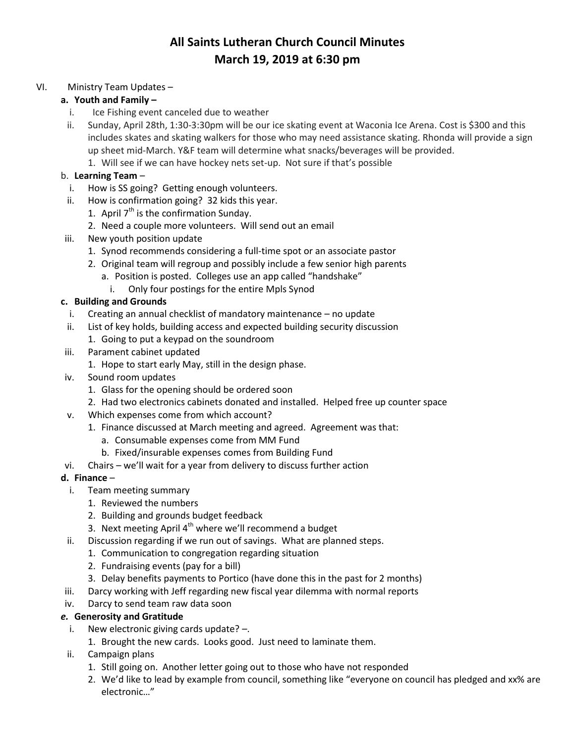#### VI. Ministry Team Updates –

#### **a. Youth and Family –**

- i. Ice Fishing event canceled due to weather
- ii. Sunday, April 28th, 1:30-3:30pm will be our ice skating event at Waconia Ice Arena. Cost is \$300 and this includes skates and skating walkers for those who may need assistance skating. Rhonda will provide a sign up sheet mid-March. Y&F team will determine what snacks/beverages will be provided.
	- 1. Will see if we can have hockey nets set-up. Not sure if that's possible

### b. **Learning Team** –

- i. How is SS going? Getting enough volunteers.
- ii. How is confirmation going? 32 kids this year.
	- 1. April  $7<sup>th</sup>$  is the confirmation Sunday.
	- 2. Need a couple more volunteers. Will send out an email
- iii. New youth position update
	- 1. Synod recommends considering a full-time spot or an associate pastor
	- 2. Original team will regroup and possibly include a few senior high parents
		- a. Position is posted. Colleges use an app called "handshake"
			- i. Only four postings for the entire Mpls Synod

### **c. Building and Grounds**

- i. Creating an annual checklist of mandatory maintenance no update
- ii. List of key holds, building access and expected building security discussion
	- 1. Going to put a keypad on the soundroom
- iii. Parament cabinet updated
	- 1. Hope to start early May, still in the design phase.
- iv. Sound room updates
	- 1. Glass for the opening should be ordered soon
	- 2. Had two electronics cabinets donated and installed. Helped free up counter space
- v. Which expenses come from which account?
	- 1. Finance discussed at March meeting and agreed. Agreement was that:
		- a. Consumable expenses come from MM Fund
		- b. Fixed/insurable expenses comes from Building Fund
- vi. Chairs we'll wait for a year from delivery to discuss further action

### **d. Finance** –

- i. Team meeting summary
	- 1. Reviewed the numbers
	- 2. Building and grounds budget feedback
	- 3. Next meeting April  $4<sup>th</sup>$  where we'll recommend a budget
- ii. Discussion regarding if we run out of savings. What are planned steps.
	- 1. Communication to congregation regarding situation
	- 2. Fundraising events (pay for a bill)
	- 3. Delay benefits payments to Portico (have done this in the past for 2 months)
- iii. Darcy working with Jeff regarding new fiscal year dilemma with normal reports
- iv. Darcy to send team raw data soon

### *e.* **Generosity and Gratitude**

- i. New electronic giving cards update? –.
	- 1. Brought the new cards. Looks good. Just need to laminate them.
- ii. Campaign plans
	- 1. Still going on. Another letter going out to those who have not responded
	- 2. We'd like to lead by example from council, something like "everyone on council has pledged and xx% are electronic…"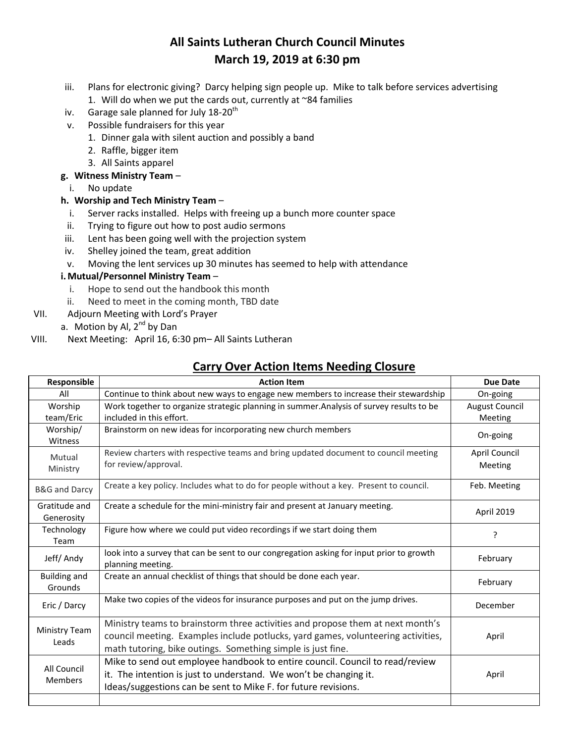- iii. Plans for electronic giving? Darcy helping sign people up. Mike to talk before services advertising 1. Will do when we put the cards out, currently at  $\sim$ 84 families
- iv. Garage sale planned for July  $18-20^{th}$
- v. Possible fundraisers for this year
	- 1. Dinner gala with silent auction and possibly a band
	- 2. Raffle, bigger item
	- 3. All Saints apparel

#### **g. Witness Ministry Team** –

i. No update

#### **h. Worship and Tech Ministry Team** –

- i. Server racks installed. Helps with freeing up a bunch more counter space
- ii. Trying to figure out how to post audio sermons
- iii. Lent has been going well with the projection system
- iv. Shelley joined the team, great addition
- v. Moving the lent services up 30 minutes has seemed to help with attendance

#### **i.Mutual/Personnel Ministry Team** –

- i. Hope to send out the handbook this month
- ii. Need to meet in the coming month, TBD date
- VII. Adjourn Meeting with Lord's Prayer
	- a. Motion by Al,  $2^{nd}$  by Dan
- VIII. Next Meeting: April 16, 6:30 pm– All Saints Lutheran

### **Carry Over Action Items Needing Closure**

| Responsible                    | <b>Action Item</b>                                                                                                                                                                                                                | <b>Due Date</b>                  |  |  |
|--------------------------------|-----------------------------------------------------------------------------------------------------------------------------------------------------------------------------------------------------------------------------------|----------------------------------|--|--|
| All                            | Continue to think about new ways to engage new members to increase their stewardship                                                                                                                                              | On-going                         |  |  |
| Worship<br>team/Eric           | Work together to organize strategic planning in summer. Analysis of survey results to be<br>included in this effort.                                                                                                              | <b>August Council</b><br>Meeting |  |  |
| Worship/<br>Witness            | Brainstorm on new ideas for incorporating new church members                                                                                                                                                                      | On-going                         |  |  |
| Mutual<br>Ministry             | Review charters with respective teams and bring updated document to council meeting<br>for review/approval.                                                                                                                       | April Council<br>Meeting         |  |  |
| <b>B&amp;G</b> and Darcy       | Create a key policy. Includes what to do for people without a key. Present to council.                                                                                                                                            | Feb. Meeting                     |  |  |
| Gratitude and<br>Generosity    | Create a schedule for the mini-ministry fair and present at January meeting.                                                                                                                                                      | April 2019                       |  |  |
| Technology<br>Team             | Figure how where we could put video recordings if we start doing them                                                                                                                                                             | ?                                |  |  |
| Jeff/Andy                      | look into a survey that can be sent to our congregation asking for input prior to growth<br>planning meeting.                                                                                                                     | February                         |  |  |
| <b>Building and</b><br>Grounds | Create an annual checklist of things that should be done each year.                                                                                                                                                               | February                         |  |  |
| Eric / Darcy                   | Make two copies of the videos for insurance purposes and put on the jump drives.                                                                                                                                                  | December                         |  |  |
| Ministry Team<br>Leads         | Ministry teams to brainstorm three activities and propose them at next month's<br>council meeting. Examples include potlucks, yard games, volunteering activities,<br>math tutoring, bike outings. Something simple is just fine. | April                            |  |  |
| All Council<br><b>Members</b>  | Mike to send out employee handbook to entire council. Council to read/review<br>it. The intention is just to understand. We won't be changing it.<br>Ideas/suggestions can be sent to Mike F. for future revisions.               | April                            |  |  |
|                                |                                                                                                                                                                                                                                   |                                  |  |  |